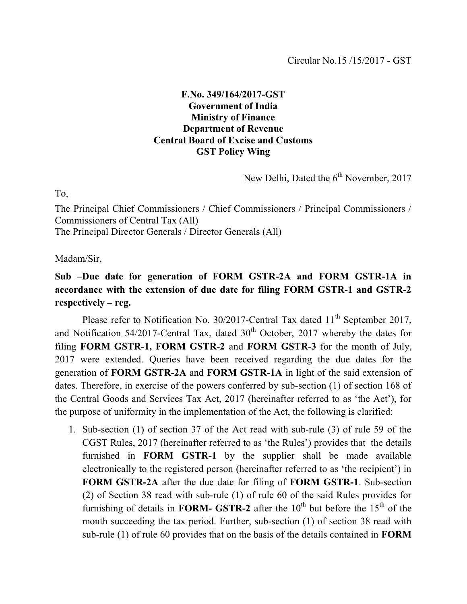## F.No. 349/164/2017-GST Government of India Ministry of Finance Department of Revenue Central Board of Excise and Customs GST Policy Wing

New Delhi, Dated the  $6<sup>th</sup>$  November, 2017

To,

The Principal Chief Commissioners / Chief Commissioners / Principal Commissioners / Commissioners of Central Tax (All) The Principal Director Generals / Director Generals (All)

Madam/Sir,

Sub –Due date for generation of FORM GSTR-2A and FORM GSTR-1A in accordance with the extension of due date for filing FORM GSTR-1 and GSTR-2 respectively – reg.

Please refer to Notification No. 30/2017-Central Tax dated 11<sup>th</sup> September 2017, and Notification 54/2017-Central Tax, dated  $30<sup>th</sup>$  October, 2017 whereby the dates for filing FORM GSTR-1, FORM GSTR-2 and FORM GSTR-3 for the month of July, 2017 were extended. Queries have been received regarding the due dates for the generation of FORM GSTR-2A and FORM GSTR-1A in light of the said extension of dates. Therefore, in exercise of the powers conferred by sub-section (1) of section 168 of the Central Goods and Services Tax Act, 2017 (hereinafter referred to as 'the Act'), for the purpose of uniformity in the implementation of the Act, the following is clarified:

1. Sub-section (1) of section 37 of the Act read with sub-rule (3) of rule 59 of the CGST Rules, 2017 (hereinafter referred to as 'the Rules') provides that the details furnished in FORM GSTR-1 by the supplier shall be made available electronically to the registered person (hereinafter referred to as 'the recipient') in FORM GSTR-2A after the due date for filing of FORM GSTR-1. Sub-section (2) of Section 38 read with sub-rule (1) of rule 60 of the said Rules provides for furnishing of details in **FORM- GSTR-2** after the  $10^{th}$  but before the  $15^{th}$  of the month succeeding the tax period. Further, sub-section (1) of section 38 read with sub-rule (1) of rule 60 provides that on the basis of the details contained in FORM